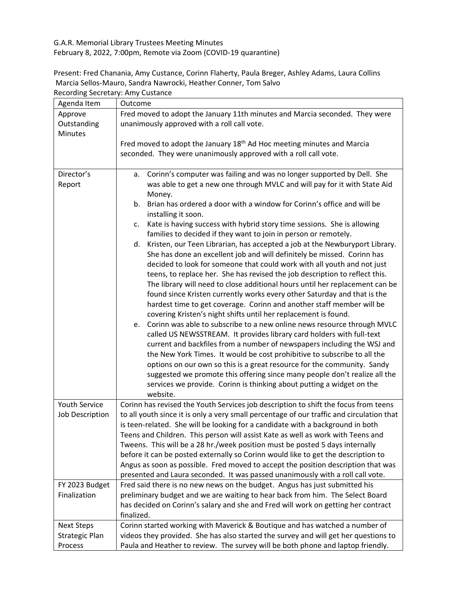G.A.R. Memorial Library Trustees Meeting Minutes

February 8, 2022, 7:00pm, Remote via Zoom (COVID-19 quarantine)

Present: Fred Chanania, Amy Custance, Corinn Flaherty, Paula Breger, Ashley Adams, Laura Collins Marcia Sellos-Mauro, Sandra Nawrocki, Heather Conner, Tom Salvo Recording Secretary: Amy Custance

| Fred moved to adopt the January 11th minutes and Marcia seconded. They were<br>Approve<br>Outstanding<br>unanimously approved with a roll call vote.<br><b>Minutes</b> |
|------------------------------------------------------------------------------------------------------------------------------------------------------------------------|
|                                                                                                                                                                        |
|                                                                                                                                                                        |
|                                                                                                                                                                        |
| Fred moved to adopt the January 18 <sup>th</sup> Ad Hoc meeting minutes and Marcia                                                                                     |
| seconded. They were unanimously approved with a roll call vote.                                                                                                        |
|                                                                                                                                                                        |
| Director's<br>Corinn's computer was failing and was no longer supported by Dell. She<br>а.                                                                             |
| was able to get a new one through MVLC and will pay for it with State Aid<br>Report                                                                                    |
| Money.                                                                                                                                                                 |
| b. Brian has ordered a door with a window for Corinn's office and will be                                                                                              |
| installing it soon.                                                                                                                                                    |
| Kate is having success with hybrid story time sessions. She is allowing<br>c.                                                                                          |
| families to decided if they want to join in person or remotely.                                                                                                        |
| d. Kristen, our Teen Librarian, has accepted a job at the Newburyport Library.                                                                                         |
| She has done an excellent job and will definitely be missed. Corinn has                                                                                                |
| decided to look for someone that could work with all youth and not just                                                                                                |
| teens, to replace her. She has revised the job description to reflect this.                                                                                            |
| The library will need to close additional hours until her replacement can be                                                                                           |
| found since Kristen currently works every other Saturday and that is the                                                                                               |
| hardest time to get coverage. Corinn and another staff member will be                                                                                                  |
| covering Kristen's night shifts until her replacement is found.                                                                                                        |
| e. Corinn was able to subscribe to a new online news resource through MVLC                                                                                             |
| called US NEWSSTREAM. It provides library card holders with full-text                                                                                                  |
| current and backfiles from a number of newspapers including the WSJ and                                                                                                |
| the New York Times. It would be cost prohibitive to subscribe to all the                                                                                               |
| options on our own so this is a great resource for the community. Sandy                                                                                                |
| suggested we promote this offering since many people don't realize all the                                                                                             |
| services we provide. Corinn is thinking about putting a widget on the                                                                                                  |
| website.                                                                                                                                                               |
| Youth Service<br>Corinn has revised the Youth Services job description to shift the focus from teens                                                                   |
| to all youth since it is only a very small percentage of our traffic and circulation that<br>Job Description                                                           |
| is teen-related. She will be looking for a candidate with a background in both                                                                                         |
| Teens and Children. This person will assist Kate as well as work with Teens and<br>Tweens. This will be a 28 hr./week position must be posted 5 days internally        |
|                                                                                                                                                                        |
| before it can be posted externally so Corinn would like to get the description to                                                                                      |
| Angus as soon as possible. Fred moved to accept the position description that was<br>presented and Laura seconded. It was passed unanimously with a roll call vote.    |
| Fred said there is no new news on the budget. Angus has just submitted his<br>FY 2023 Budget                                                                           |
| preliminary budget and we are waiting to hear back from him. The Select Board<br>Finalization                                                                          |
| has decided on Corinn's salary and she and Fred will work on getting her contract                                                                                      |
| finalized.                                                                                                                                                             |
| Corinn started working with Maverick & Boutique and has watched a number of<br><b>Next Steps</b>                                                                       |
| videos they provided. She has also started the survey and will get her questions to<br><b>Strategic Plan</b>                                                           |
| Paula and Heather to review. The survey will be both phone and laptop friendly.<br>Process                                                                             |